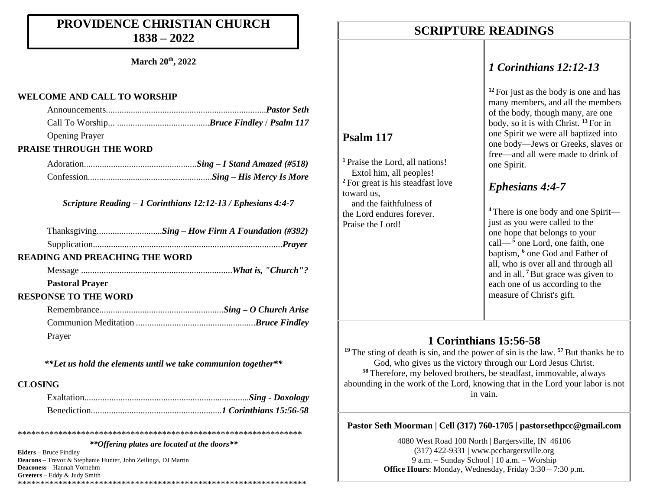### **PROVIDENCE CHRISTIAN CHURCH 1838 – 2022**

**March 20th, 2022**

#### **WELCOME AND CALL TO WORSHIP**

| <b>Opening Prayer</b>          |  |
|--------------------------------|--|
| <b>PRAISE THROUGH THE WORD</b> |  |
|                                |  |

*Scripture Reading – 1 Corinthians 12:12-13 / Ephesians 4:4-7*

#### **READING AND PREACHING THE WORD**

Message ...................................................................*What is, "Church"?*

#### **Pastoral Prayer**

#### **RESPONSE TO THE WORD**

| Prayer |  |
|--------|--|

*\*\*Let us hold the elements until we take communion together\*\**

#### **CLOSING**

*\*\*Offering plates are located at the doors\*\**

\*\*\*\*\*\*\*\*\*\*\*\*\*\*\*\*\*\*\*\*\*\*\*\*\*\*\*\*\*\*\*\*\*\*\*\*\*\*\*\*\*\*\*\*\*\*\*\*\*\*\*\*\*\*\*\*\*\*\*\*\*\*\*

**Elders –** Bruce Findley **Deacons –** Trevor & Stephanie Hunter, John Zeilinga, DJ Martin **Deaconess –** Hannah Vornehm **Greeters –** Eddy & Judy Smith \*\*\*\*\*\*\*\*\*\*\*\*\*\*\*\*\*\*\*\*\*\*\*\*\*\*\*\*\*\*\*\*\*\*\*\*\*\*\*\*\*\*\*\*\*\*\*\*\*\*\*\*\*\*\*\*\*\*\*\*\*\*\*\*

### **SCRIPTURE READINGS SCRIPTURE READINGS**

**Psalm 117**

toward us,

Praise the Lord!

**<sup>1</sup>** Praise the Lord, all nations! Extol him, all peoples! **<sup>2</sup>** For great is his steadfast love

 and the faithfulness of the Lord endures forever.

### *1 Corinthians 12:12-13*

**<sup>12</sup>** For just as the body is one and has many members, and all the members of the body, though many, are one body, so it is with Christ. **<sup>13</sup>** For in one Spirit we were all baptized into one body—Jews or Greeks, slaves or free—and all were made to drink of one Spirit.

### *Ephesians 4:4-7*

**<sup>4</sup>** There is one body and one Spirit just as you were called to the one hope that belongs to your call— $\frac{5}{5}$  one Lord, one faith, one baptism, **<sup>6</sup>** one God and Father of all, who is over all and through all and in all. **<sup>7</sup>**But grace was given to each one of us according to the measure of Christ's gift.

### **1 Corinthians 15:56-58**

<sup>19</sup> The sting of death is sin, and the power of sin is the law. <sup>57</sup> But thanks be to God, who gives us the victory through our Lord Jesus Christ. **<sup>58</sup>** Therefore, my beloved brothers, be steadfast, immovable, always abounding in the work of the Lord, knowing that in the Lord your labor is not in vain.

### **Pastor Seth Moorman | Cell (317) 760-1705 | pastorsethpcc@gmail.com**

4080 West Road 100 North | Bargersville, IN 46106 (317) 422-9331 | www.pccbargersville.org 9 a.m. – Sunday School | 10 a.m. – Worship **Office Hours**: Monday, Wednesday, Friday 3:30 – 7:30 p.m.